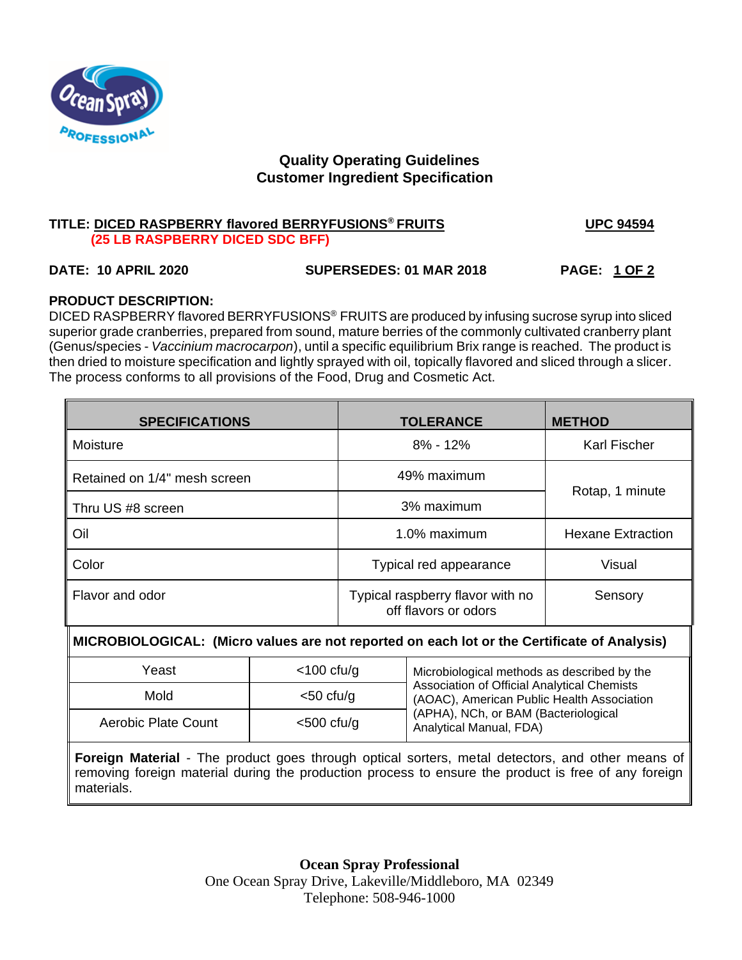

# **Quality Operating Guidelines Customer Ingredient Specification**

## **TITLE: DICED RASPBERRY flavored BERRYFUSIONS® FRUITS UPC 94594 (25 LB RASPBERRY DICED SDC BFF)**

# **DATE: 10 APRIL 2020 SUPERSEDES: 01 MAR 2018 PAGE: 1 OF 2**

# **PRODUCT DESCRIPTION:**

DICED RASPBERRY flavored BERRYFUSIONS® FRUITS are produced by infusing sucrose syrup into sliced superior grade cranberries, prepared from sound, mature berries of the commonly cultivated cranberry plant (Genus/species - *Vaccinium macrocarpon*), until a specific equilibrium Brix range is reached. The product is then dried to moisture specification and lightly sprayed with oil, topically flavored and sliced through a slicer. The process conforms to all provisions of the Food, Drug and Cosmetic Act.

| <b>SPECIFICATIONS</b>        | <b>TOLERANCE</b>                                                    | <b>METHOD</b>            |  |
|------------------------------|---------------------------------------------------------------------|--------------------------|--|
| Moisture                     | $8\% - 12\%$                                                        | <b>Karl Fischer</b>      |  |
| Retained on 1/4" mesh screen | 49% maximum                                                         | Rotap, 1 minute          |  |
| Thru US #8 screen            | 3% maximum                                                          |                          |  |
| Oil                          | 1.0% maximum                                                        | <b>Hexane Extraction</b> |  |
| Color                        | Typical red appearance<br>Visual                                    |                          |  |
| Flavor and odor              | Typical raspberry flavor with no<br>Sensory<br>off flavors or odors |                          |  |

### M **MICROBIOLOGICAL: (Micro values are not reported on each lot or the Certificate of Analysis)**

| Yeast                       | $<$ 100 cfu/g | Microbiological methods as described by the                                               |  |
|-----------------------------|---------------|-------------------------------------------------------------------------------------------|--|
| Mold<br>Aerobic Plate Count | $<$ 50 cfu/g  | Association of Official Analytical Chemists<br>(AOAC), American Public Health Association |  |
|                             | $<$ 500 cfu/g | (APHA), NCh, or BAM (Bacteriological<br>Analytical Manual, FDA)                           |  |

**Foreign Material** - The product goes through optical sorters, metal detectors, and other means of removing foreign material during the production process to ensure the product is free of any foreign materials.

> **Ocean Spray Professional** One Ocean Spray Drive, Lakeville/Middleboro, MA 02349 Telephone: 508-946-1000